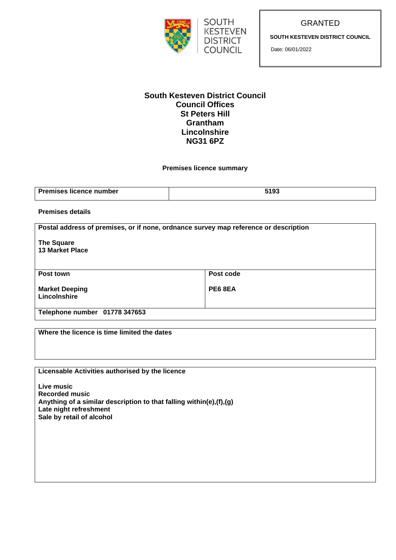



GRANTED

**SOUTH KESTEVEN DISTRICT COUNCIL**

Date: 06/01/2022

### **South Kesteven District Council Council Offices St Peters Hill Grantham Lincolnshire NG31 6PZ**

### **Premises licence summary**

| <b>Premises licence number</b> | <b>F400</b> |
|--------------------------------|-------------|

### **Premises details**

**Postal address of premises, or if none, ordnance survey map reference or description**

**The Square 13 Market Place**

| Post town                             | Post code |
|---------------------------------------|-----------|
| <b>Market Deeping</b><br>Lincolnshire | PE6 8EA   |
| Telephone number 01778 347653         |           |

| Where the licence is time limited the dates                         |
|---------------------------------------------------------------------|
|                                                                     |
|                                                                     |
|                                                                     |
|                                                                     |
|                                                                     |
| Licensable Activities authorised by the licence                     |
|                                                                     |
| Live music                                                          |
| <b>Recorded music</b>                                               |
|                                                                     |
| Anything of a similar description to that falling within(e),(f),(g) |
| Late night refreshment                                              |
| Sale by retail of alcohol                                           |
|                                                                     |
|                                                                     |
|                                                                     |
|                                                                     |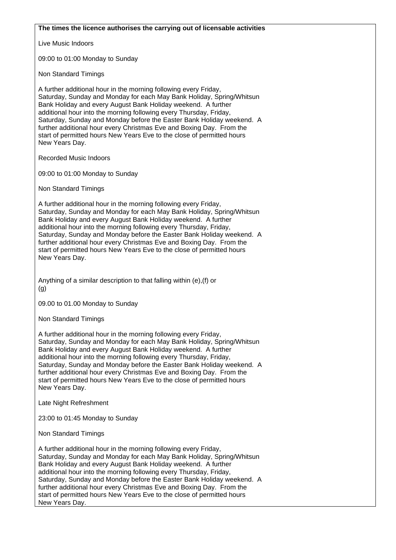#### **The times the licence authorises the carrying out of licensable activities**

Live Music Indoors

09:00 to 01:00 Monday to Sunday

Non Standard Timings

A further additional hour in the morning following every Friday, Saturday, Sunday and Monday for each May Bank Holiday, Spring/Whitsun Bank Holiday and every August Bank Holiday weekend. A further additional hour into the morning following every Thursday, Friday, Saturday, Sunday and Monday before the Easter Bank Holiday weekend. A further additional hour every Christmas Eve and Boxing Day. From the start of permitted hours New Years Eve to the close of permitted hours New Years Day.

Recorded Music Indoors

09:00 to 01:00 Monday to Sunday

Non Standard Timings

A further additional hour in the morning following every Friday, Saturday, Sunday and Monday for each May Bank Holiday, Spring/Whitsun Bank Holiday and every August Bank Holiday weekend. A further additional hour into the morning following every Thursday, Friday, Saturday, Sunday and Monday before the Easter Bank Holiday weekend. A further additional hour every Christmas Eve and Boxing Day. From the start of permitted hours New Years Eve to the close of permitted hours New Years Day.

Anything of a similar description to that falling within (e),(f) or (g)

09.00 to 01.00 Monday to Sunday

Non Standard Timings

A further additional hour in the morning following every Friday, Saturday, Sunday and Monday for each May Bank Holiday, Spring/Whitsun Bank Holiday and every August Bank Holiday weekend. A further additional hour into the morning following every Thursday, Friday, Saturday, Sunday and Monday before the Easter Bank Holiday weekend. A further additional hour every Christmas Eve and Boxing Day. From the start of permitted hours New Years Eve to the close of permitted hours New Years Day.

Late Night Refreshment

23:00 to 01:45 Monday to Sunday

Non Standard Timings

A further additional hour in the morning following every Friday, Saturday, Sunday and Monday for each May Bank Holiday, Spring/Whitsun Bank Holiday and every August Bank Holiday weekend. A further additional hour into the morning following every Thursday, Friday, Saturday, Sunday and Monday before the Easter Bank Holiday weekend. A further additional hour every Christmas Eve and Boxing Day. From the start of permitted hours New Years Eve to the close of permitted hours New Years Day.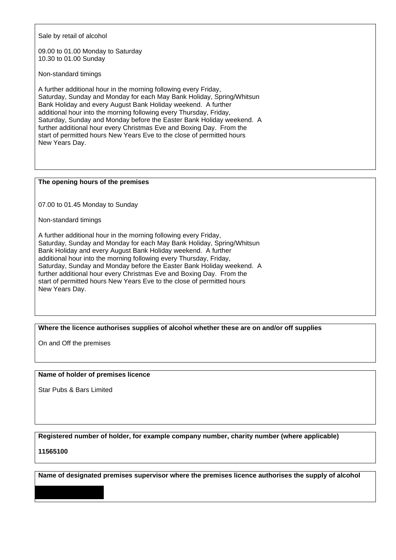Sale by retail of alcohol

09.00 to 01.00 Monday to Saturday 10.30 to 01.00 Sunday

Non-standard timings

A further additional hour in the morning following every Friday, Saturday, Sunday and Monday for each May Bank Holiday, Spring/Whitsun Bank Holiday and every August Bank Holiday weekend. A further additional hour into the morning following every Thursday, Friday, Saturday, Sunday and Monday before the Easter Bank Holiday weekend. A further additional hour every Christmas Eve and Boxing Day. From the start of permitted hours New Years Eve to the close of permitted hours New Years Day.

### **The opening hours of the premises**

07.00 to 01.45 Monday to Sunday

Non-standard timings

A further additional hour in the morning following every Friday, Saturday, Sunday and Monday for each May Bank Holiday, Spring/Whitsun Bank Holiday and every August Bank Holiday weekend. A further additional hour into the morning following every Thursday, Friday, Saturday, Sunday and Monday before the Easter Bank Holiday weekend. A further additional hour every Christmas Eve and Boxing Day. From the start of permitted hours New Years Eve to the close of permitted hours New Years Day.

### **Where the licence authorises supplies of alcohol whether these are on and/or off supplies**

On and Off the premises

#### **Name of holder of premises licence**

Star Pubs & Bars Limited

**Registered number of holder, for example company number, charity number (where applicable)**

**11565100**

**Name of designated premises supervisor where the premises licence authorises the supply of alcohol**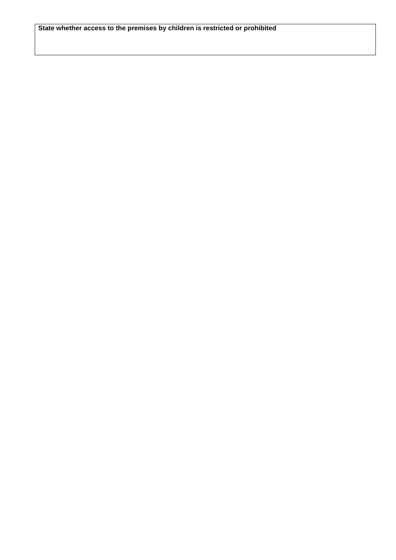**State whether access to the premises by children is restricted or prohibited**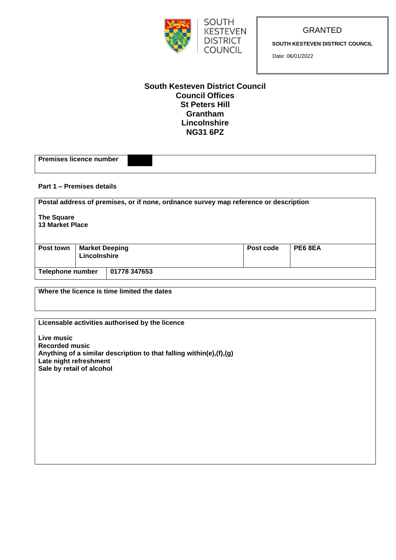

GRANTED

**SOUTH KESTEVEN DISTRICT COUNCIL**

Date: 06/01/2022

### **South Kesteven District Council Council Offices St Peters Hill Grantham Lincolnshire NG31 6PZ**

**SOUTH KESTEVEN DISTRICT COUNCIL** 

| Part 1 – Premises details                   |                                       |                                                                                      |  |           |                |  |
|---------------------------------------------|---------------------------------------|--------------------------------------------------------------------------------------|--|-----------|----------------|--|
|                                             |                                       | Postal address of premises, or if none, ordnance survey map reference or description |  |           |                |  |
| <b>The Square</b><br><b>13 Market Place</b> |                                       |                                                                                      |  |           |                |  |
| Post town                                   | <b>Market Deeping</b><br>Lincolnshire |                                                                                      |  | Post code | <b>PE6 8EA</b> |  |
| <b>Telephone number</b>                     |                                       | 01778 347653                                                                         |  |           |                |  |

**Where the licence is time limited the dates**

**Premises licence number** 

**Licensable activities authorised by the licence**

**Live music Recorded music Anything of a similar description to that falling within(e),(f),(g) Late night refreshment Sale by retail of alcohol**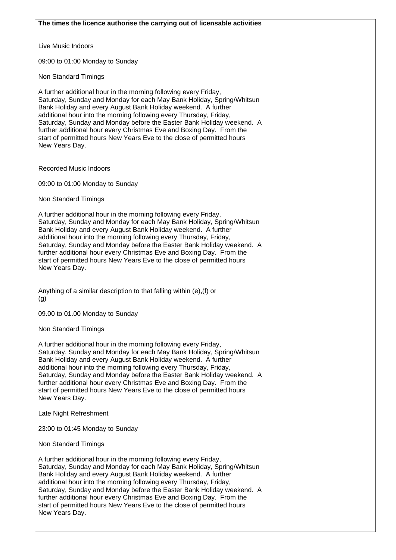Live Music Indoors

09:00 to 01:00 Monday to Sunday

Non Standard Timings

A further additional hour in the morning following every Friday, Saturday, Sunday and Monday for each May Bank Holiday, Spring/Whitsun Bank Holiday and every August Bank Holiday weekend. A further additional hour into the morning following every Thursday, Friday, Saturday, Sunday and Monday before the Easter Bank Holiday weekend. A further additional hour every Christmas Eve and Boxing Day. From the start of permitted hours New Years Eve to the close of permitted hours New Years Day.

Recorded Music Indoors

09:00 to 01:00 Monday to Sunday

Non Standard Timings

A further additional hour in the morning following every Friday, Saturday, Sunday and Monday for each May Bank Holiday, Spring/Whitsun Bank Holiday and every August Bank Holiday weekend. A further additional hour into the morning following every Thursday, Friday, Saturday, Sunday and Monday before the Easter Bank Holiday weekend. A further additional hour every Christmas Eve and Boxing Day. From the start of permitted hours New Years Eve to the close of permitted hours New Years Day.

Anything of a similar description to that falling within (e),(f) or (g)

09.00 to 01.00 Monday to Sunday

Non Standard Timings

A further additional hour in the morning following every Friday, Saturday, Sunday and Monday for each May Bank Holiday, Spring/Whitsun Bank Holiday and every August Bank Holiday weekend. A further additional hour into the morning following every Thursday, Friday, Saturday, Sunday and Monday before the Easter Bank Holiday weekend. A further additional hour every Christmas Eve and Boxing Day. From the start of permitted hours New Years Eve to the close of permitted hours New Years Day.

Late Night Refreshment

23:00 to 01:45 Monday to Sunday

Non Standard Timings

A further additional hour in the morning following every Friday, Saturday, Sunday and Monday for each May Bank Holiday, Spring/Whitsun Bank Holiday and every August Bank Holiday weekend. A further additional hour into the morning following every Thursday, Friday, Saturday, Sunday and Monday before the Easter Bank Holiday weekend. A further additional hour every Christmas Eve and Boxing Day. From the start of permitted hours New Years Eve to the close of permitted hours New Years Day.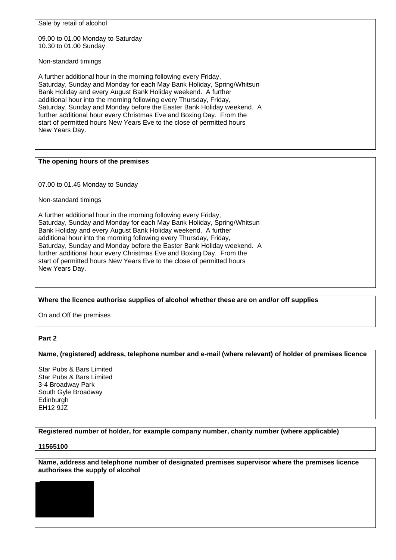Sale by retail of alcohol

09.00 to 01.00 Monday to Saturday 10.30 to 01.00 Sunday

Non-standard timings

A further additional hour in the morning following every Friday, Saturday, Sunday and Monday for each May Bank Holiday, Spring/Whitsun Bank Holiday and every August Bank Holiday weekend. A further additional hour into the morning following every Thursday, Friday, Saturday, Sunday and Monday before the Easter Bank Holiday weekend. A further additional hour every Christmas Eve and Boxing Day. From the start of permitted hours New Years Eve to the close of permitted hours New Years Day.

### **The opening hours of the premises**

07.00 to 01.45 Monday to Sunday

Non-standard timings

A further additional hour in the morning following every Friday, Saturday, Sunday and Monday for each May Bank Holiday, Spring/Whitsun Bank Holiday and every August Bank Holiday weekend. A further additional hour into the morning following every Thursday, Friday, Saturday, Sunday and Monday before the Easter Bank Holiday weekend. A further additional hour every Christmas Eve and Boxing Day. From the start of permitted hours New Years Eve to the close of permitted hours New Years Day.

**Where the licence authorise supplies of alcohol whether these are on and/or off supplies**

On and Off the premises

### **Part 2**

### **Name, (registered) address, telephone number and e-mail (where relevant) of holder of premises licence**

Star Pubs & Bars Limited Star Pubs & Bars Limited 3-4 Broadway Park South Gyle Broadway **Edinburgh** EH12 9JZ

### **Registered number of holder, for example company number, charity number (where applicable)**

### **11565100**

**Name, address and telephone number of designated premises supervisor where the premises licence authorises the supply of alcohol**

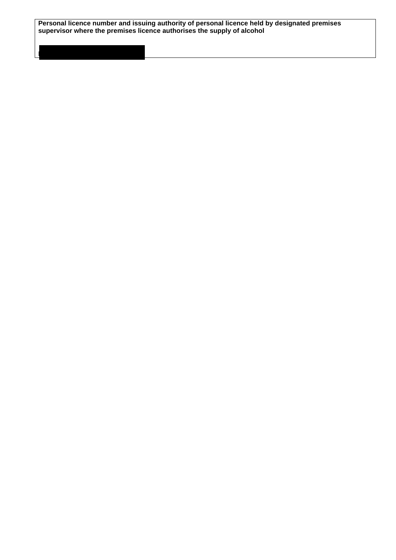**Personal licence number and issuing authority of personal licence held by designated premises supervisor where the premises licence authorises the supply of alcohol**

**PA10551056 Derby City Council**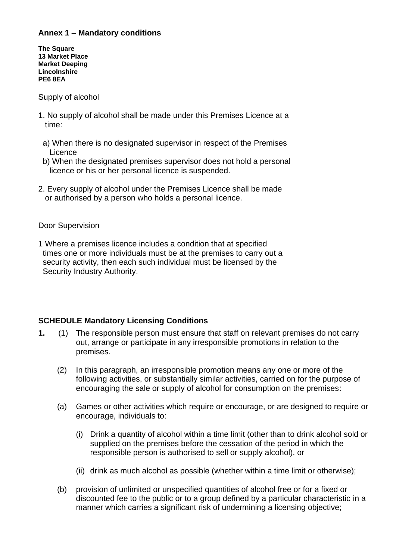## **Annex 1 – Mandatory conditions**

**The Square 13 Market Place Market Deeping Lincolnshire PE6 8EA**

Supply of alcohol

- 1. No supply of alcohol shall be made under this Premises Licence at a time:
	- a) When there is no designated supervisor in respect of the Premises **Licence**
- b) When the designated premises supervisor does not hold a personal licence or his or her personal licence is suspended.
- 2. Every supply of alcohol under the Premises Licence shall be made or authorised by a person who holds a personal licence.

### Door Supervision

1 Where a premises licence includes a condition that at specified times one or more individuals must be at the premises to carry out a security activity, then each such individual must be licensed by the Security Industry Authority.

## **SCHEDULE Mandatory Licensing Conditions**

- **1.** (1) The responsible person must ensure that staff on relevant premises do not carry out, arrange or participate in any irresponsible promotions in relation to the premises.
	- (2) In this paragraph, an irresponsible promotion means any one or more of the following activities, or substantially similar activities, carried on for the purpose of encouraging the sale or supply of alcohol for consumption on the premises:
	- (a) Games or other activities which require or encourage, or are designed to require or encourage, individuals to:
		- (i) Drink a quantity of alcohol within a time limit (other than to drink alcohol sold or supplied on the premises before the cessation of the period in which the responsible person is authorised to sell or supply alcohol), or
		- (ii) drink as much alcohol as possible (whether within a time limit or otherwise);
	- (b) provision of unlimited or unspecified quantities of alcohol free or for a fixed or discounted fee to the public or to a group defined by a particular characteristic in a manner which carries a significant risk of undermining a licensing objective: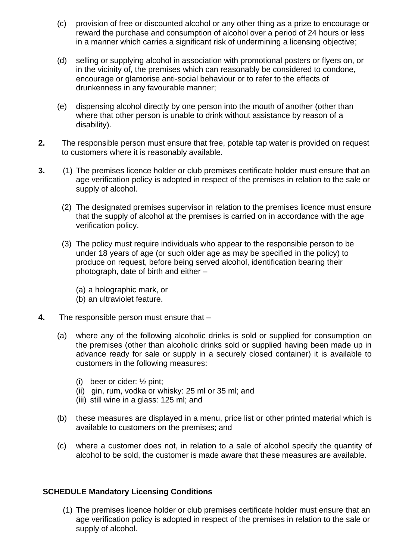- (c) provision of free or discounted alcohol or any other thing as a prize to encourage or reward the purchase and consumption of alcohol over a period of 24 hours or less in a manner which carries a significant risk of undermining a licensing objective;
- (d) selling or supplying alcohol in association with promotional posters or flyers on, or in the vicinity of, the premises which can reasonably be considered to condone, encourage or glamorise anti-social behaviour or to refer to the effects of drunkenness in any favourable manner;
- (e) dispensing alcohol directly by one person into the mouth of another (other than where that other person is unable to drink without assistance by reason of a disability).
- **2.** The responsible person must ensure that free, potable tap water is provided on request to customers where it is reasonably available.
- **3.** (1) The premises licence holder or club premises certificate holder must ensure that an age verification policy is adopted in respect of the premises in relation to the sale or supply of alcohol.
	- (2) The designated premises supervisor in relation to the premises licence must ensure that the supply of alcohol at the premises is carried on in accordance with the age verification policy.
	- (3) The policy must require individuals who appear to the responsible person to be under 18 years of age (or such older age as may be specified in the policy) to produce on request, before being served alcohol, identification bearing their photograph, date of birth and either –
		- (a) a holographic mark, or
		- (b) an ultraviolet feature.
- **4.** The responsible person must ensure that
	- (a) where any of the following alcoholic drinks is sold or supplied for consumption on the premises (other than alcoholic drinks sold or supplied having been made up in advance ready for sale or supply in a securely closed container) it is available to customers in the following measures:
		- (i) beer or cider: ½ pint;
		- (ii) gin, rum, vodka or whisky: 25 ml or 35 ml; and
		- (iii) still wine in a glass: 125 ml; and
	- (b) these measures are displayed in a menu, price list or other printed material which is available to customers on the premises; and
	- (c) where a customer does not, in relation to a sale of alcohol specify the quantity of alcohol to be sold, the customer is made aware that these measures are available.

# **SCHEDULE Mandatory Licensing Conditions**

(1) The premises licence holder or club premises certificate holder must ensure that an age verification policy is adopted in respect of the premises in relation to the sale or supply of alcohol.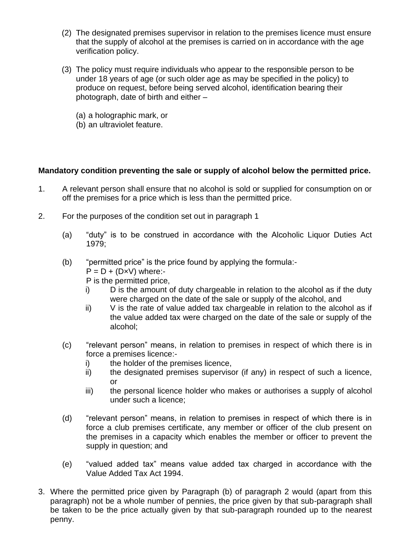- (2) The designated premises supervisor in relation to the premises licence must ensure that the supply of alcohol at the premises is carried on in accordance with the age verification policy.
- (3) The policy must require individuals who appear to the responsible person to be under 18 years of age (or such older age as may be specified in the policy) to produce on request, before being served alcohol, identification bearing their photograph, date of birth and either –
	- (a) a holographic mark, or
	- (b) an ultraviolet feature.

## **Mandatory condition preventing the sale or supply of alcohol below the permitted price.**

- 1. A relevant person shall ensure that no alcohol is sold or supplied for consumption on or off the premises for a price which is less than the permitted price.
- 2. For the purposes of the condition set out in paragraph 1
	- (a) "duty" is to be construed in accordance with the Alcoholic Liquor Duties Act 1979;
	- (b) "permitted price" is the price found by applying the formula:-
		- $P = D + (D \times V)$  where:-
		- P is the permitted price,
		- i) D is the amount of duty chargeable in relation to the alcohol as if the duty were charged on the date of the sale or supply of the alcohol, and
		- ii) V is the rate of value added tax chargeable in relation to the alcohol as if the value added tax were charged on the date of the sale or supply of the alcohol;
	- (c) "relevant person" means, in relation to premises in respect of which there is in force a premises licence:
		- i) the holder of the premises licence,
		- ii) the designated premises supervisor (if any) in respect of such a licence, or
		- iii) the personal licence holder who makes or authorises a supply of alcohol under such a licence;
	- (d) "relevant person" means, in relation to premises in respect of which there is in force a club premises certificate, any member or officer of the club present on the premises in a capacity which enables the member or officer to prevent the supply in question; and
	- (e) "valued added tax" means value added tax charged in accordance with the Value Added Tax Act 1994.
- 3. Where the permitted price given by Paragraph (b) of paragraph 2 would (apart from this paragraph) not be a whole number of pennies, the price given by that sub-paragraph shall be taken to be the price actually given by that sub-paragraph rounded up to the nearest penny.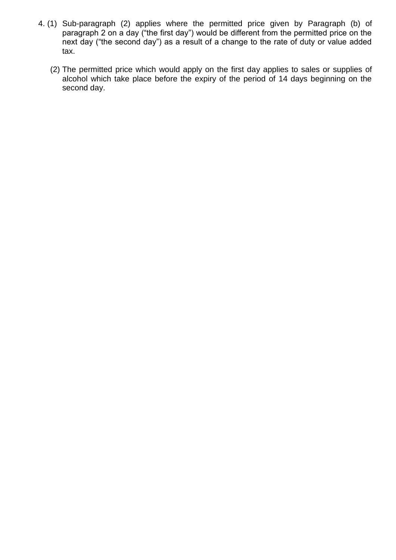- 4. (1) Sub-paragraph (2) applies where the permitted price given by Paragraph (b) of paragraph 2 on a day ("the first day") would be different from the permitted price on the next day ("the second day") as a result of a change to the rate of duty or value added tax.
	- (2) The permitted price which would apply on the first day applies to sales or supplies of alcohol which take place before the expiry of the period of 14 days beginning on the second day.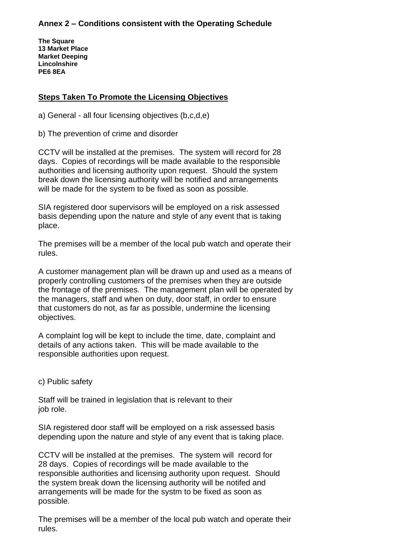## **Annex 2 – Conditions consistent with the Operating Schedule**

**The Square 13 Market Place Market Deeping Lincolnshire PE6 8EA**

# **Steps Taken To Promote the Licensing Objectives**

a) General - all four licensing objectives (b,c,d,e)

b) The prevention of crime and disorder

CCTV will be installed at the premises. The system will record for 28 days. Copies of recordings will be made available to the responsible authorities and licensing authority upon request. Should the system break down the licensing authority will be notified and arrangements will be made for the system to be fixed as soon as possible.

SIA registered door supervisors will be employed on a risk assessed basis depending upon the nature and style of any event that is taking place.

The premises will be a member of the local pub watch and operate their rules.

A customer management plan will be drawn up and used as a means of properly controlling customers of the premises when they are outside the frontage of the premises. The management plan will be operated by the managers, staff and when on duty, door staff, in order to ensure that customers do not, as far as possible, undermine the licensing objectives.

A complaint log will be kept to include the time, date, complaint and details of any actions taken. This will be made available to the responsible authorities upon request.

c) Public safety

Staff will be trained in legislation that is relevant to their job role.

SIA registered door staff will be employed on a risk assessed basis depending upon the nature and style of any event that is taking place.

CCTV will be installed at the premises. The system will record for 28 days. Copies of recordings will be made available to the responsible authorities and licensing authority upon request. Should the system break down the licensing authority will be notifed and arrangements will be made for the systm to be fixed as soon as possible.

The premises will be a member of the local pub watch and operate their rules.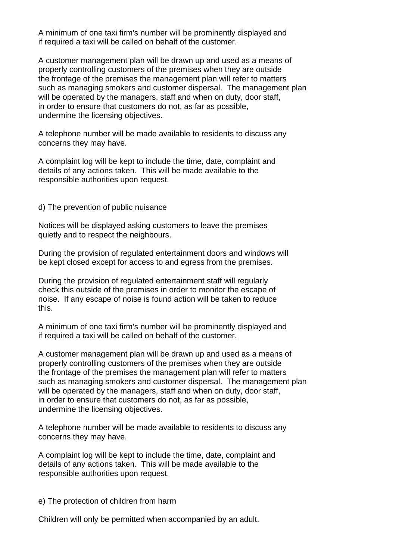A minimum of one taxi firm's number will be prominently displayed and if required a taxi will be called on behalf of the customer.

A customer management plan will be drawn up and used as a means of properly controlling customers of the premises when they are outside the frontage of the premises the management plan will refer to matters such as managing smokers and customer dispersal. The management plan will be operated by the managers, staff and when on duty, door staff, in order to ensure that customers do not, as far as possible, undermine the licensing objectives.

A telephone number will be made available to residents to discuss any concerns they may have.

A complaint log will be kept to include the time, date, complaint and details of any actions taken. This will be made available to the responsible authorities upon request.

d) The prevention of public nuisance

Notices will be displayed asking customers to leave the premises quietly and to respect the neighbours.

During the provision of regulated entertainment doors and windows will be kept closed except for access to and egress from the premises.

During the provision of regulated entertainment staff will regularly check this outside of the premises in order to monitor the escape of noise. If any escape of noise is found action will be taken to reduce this.

A minimum of one taxi firm's number will be prominently displayed and if required a taxi will be called on behalf of the customer.

A customer management plan will be drawn up and used as a means of properly controlling customers of the premises when they are outside the frontage of the premises the management plan will refer to matters such as managing smokers and customer dispersal. The management plan will be operated by the managers, staff and when on duty, door staff, in order to ensure that customers do not, as far as possible, undermine the licensing objectives.

A telephone number will be made available to residents to discuss any concerns they may have.

A complaint log will be kept to include the time, date, complaint and details of any actions taken. This will be made available to the responsible authorities upon request.

e) The protection of children from harm

Children will only be permitted when accompanied by an adult.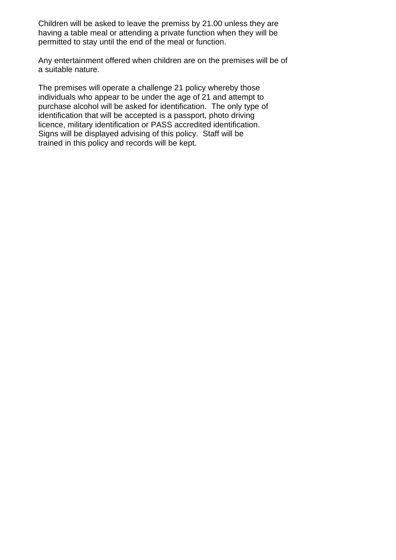Children will be asked to leave the premiss by 21.00 unless they are having a table meal or attending a private function when they will be permitted to stay until the end of the meal or function.

Any entertainment offered when children are on the premises will be of a suitable nature.

The premises will operate a challenge 21 policy whereby those individuals who appear to be under the age of 21 and attempt to purchase alcohol will be asked for identification. The only type of identification that will be accepted is a passport, photo driving licence, military identification or PASS accredited identification. Signs will be displayed advising of this policy. Staff will be trained in this policy and records will be kept.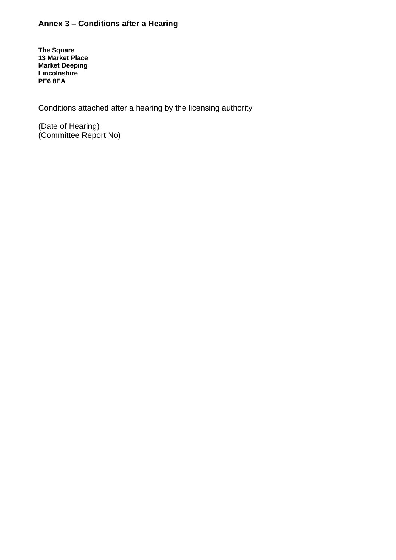# **Annex 3 – Conditions after a Hearing**

**The Square 13 Market Place Market Deeping Lincolnshire PE6 8EA**

Conditions attached after a hearing by the licensing authority

(Date of Hearing) (Committee Report No)